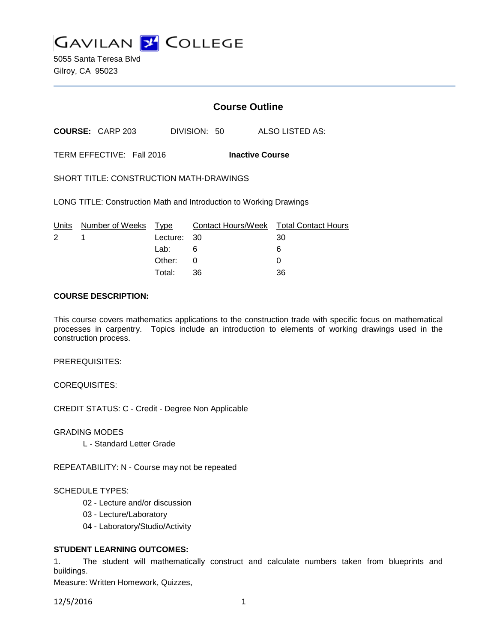

5055 Santa Teresa Blvd Gilroy, CA 95023

### **Course Outline**

**COURSE:** CARP 203 DIVISION: 50 ALSO LISTED AS:

TERM EFFECTIVE: Fall 2016 **Inactive Course**

SHORT TITLE: CONSTRUCTION MATH-DRAWINGS

LONG TITLE: Construction Math and Introduction to Working Drawings

|              | Units Number of Weeks Type |             | Contact Hours/Week  Total Contact Hours |    |
|--------------|----------------------------|-------------|-----------------------------------------|----|
| $\mathbf{2}$ |                            | Lecture: 30 |                                         | 30 |
|              |                            | Lab: __     | - 6                                     |    |
|              |                            | Other: 0    |                                         |    |
|              |                            | Total:      | -36                                     | 36 |

#### **COURSE DESCRIPTION:**

This course covers mathematics applications to the construction trade with specific focus on mathematical processes in carpentry. Topics include an introduction to elements of working drawings used in the construction process.

PREREQUISITES:

COREQUISITES:

CREDIT STATUS: C - Credit - Degree Non Applicable

GRADING MODES

L - Standard Letter Grade

REPEATABILITY: N - Course may not be repeated

#### SCHEDULE TYPES:

- 02 Lecture and/or discussion
- 03 Lecture/Laboratory
- 04 Laboratory/Studio/Activity

#### **STUDENT LEARNING OUTCOMES:**

1. The student will mathematically construct and calculate numbers taken from blueprints and buildings.

Measure: Written Homework, Quizzes,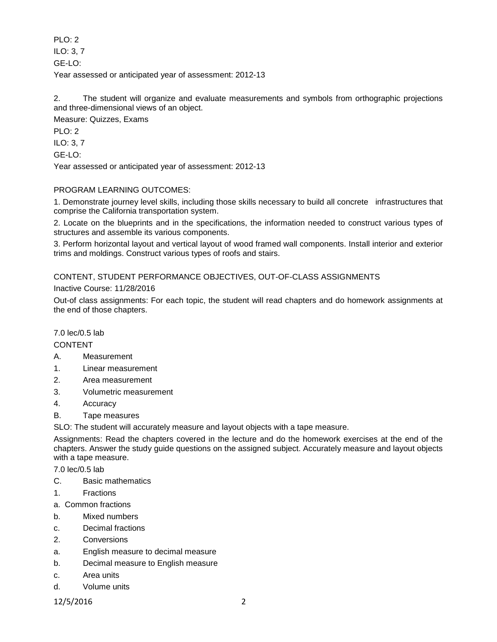PLO: 2 ILO: 3, 7 GE-LO: Year assessed or anticipated year of assessment: 2012-13

2. The student will organize and evaluate measurements and symbols from orthographic projections and three-dimensional views of an object.

Measure: Quizzes, Exams

PLO: 2

ILO: 3, 7

GE-LO:

Year assessed or anticipated year of assessment: 2012-13

# PROGRAM LEARNING OUTCOMES:

1. Demonstrate journey level skills, including those skills necessary to build all concrete infrastructures that comprise the California transportation system.

2. Locate on the blueprints and in the specifications, the information needed to construct various types of structures and assemble its various components.

3. Perform horizontal layout and vertical layout of wood framed wall components. Install interior and exterior trims and moldings. Construct various types of roofs and stairs.

## CONTENT, STUDENT PERFORMANCE OBJECTIVES, OUT-OF-CLASS ASSIGNMENTS

Inactive Course: 11/28/2016

Out-of class assignments: For each topic, the student will read chapters and do homework assignments at the end of those chapters.

## 7.0 lec/0.5 lab

CONTENT

- A. Measurement
- 1. Linear measurement
- 2. Area measurement
- 3. Volumetric measurement
- 4. Accuracy
- B. Tape measures

SLO: The student will accurately measure and layout objects with a tape measure.

Assignments: Read the chapters covered in the lecture and do the homework exercises at the end of the chapters. Answer the study guide questions on the assigned subject. Accurately measure and layout objects with a tape measure.

7.0 lec/0.5 lab

- C. Basic mathematics
- 1. Fractions
- a. Common fractions
- b. Mixed numbers
- c. Decimal fractions
- 2. Conversions
- a. English measure to decimal measure
- b. Decimal measure to English measure
- c. Area units
- d. Volume units

12/5/2016 2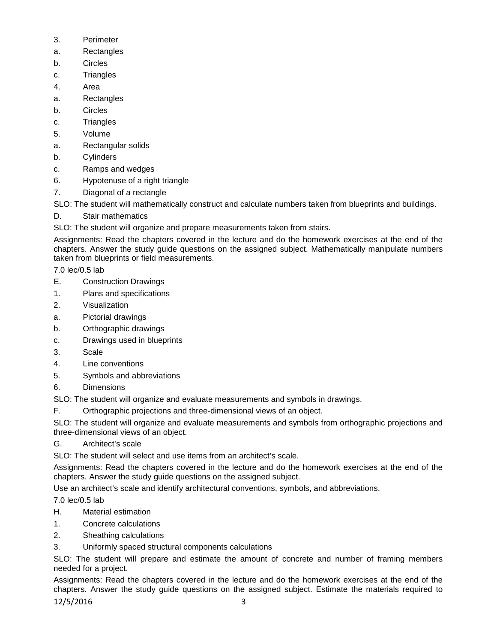- 3. Perimeter
- a. Rectangles
- b. Circles
- c. Triangles
- 4. Area
- a. Rectangles
- b. Circles
- c. Triangles
- 5. Volume
- a. Rectangular solids
- b. Cylinders
- c. Ramps and wedges
- 6. Hypotenuse of a right triangle
- 7. Diagonal of a rectangle

SLO: The student will mathematically construct and calculate numbers taken from blueprints and buildings.

- D. Stair mathematics
- SLO: The student will organize and prepare measurements taken from stairs.

Assignments: Read the chapters covered in the lecture and do the homework exercises at the end of the chapters. Answer the study guide questions on the assigned subject. Mathematically manipulate numbers taken from blueprints or field measurements.

7.0 lec/0.5 lab

- E. Construction Drawings
- 1. Plans and specifications
- 2. Visualization
- a. Pictorial drawings
- b. Orthographic drawings
- c. Drawings used in blueprints
- 3. Scale
- 4. Line conventions
- 5. Symbols and abbreviations
- 6. Dimensions

SLO: The student will organize and evaluate measurements and symbols in drawings.

F. Orthographic projections and three-dimensional views of an object.

SLO: The student will organize and evaluate measurements and symbols from orthographic projections and three-dimensional views of an object.

G. Architect's scale

SLO: The student will select and use items from an architect's scale.

Assignments: Read the chapters covered in the lecture and do the homework exercises at the end of the chapters. Answer the study guide questions on the assigned subject.

Use an architect's scale and identify architectural conventions, symbols, and abbreviations.

7.0 lec/0.5 lab

- H. Material estimation
- 1. Concrete calculations
- 2. Sheathing calculations
- 3. Uniformly spaced structural components calculations

SLO: The student will prepare and estimate the amount of concrete and number of framing members needed for a project.

Assignments: Read the chapters covered in the lecture and do the homework exercises at the end of the chapters. Answer the study guide questions on the assigned subject. Estimate the materials required to

12/5/2016 3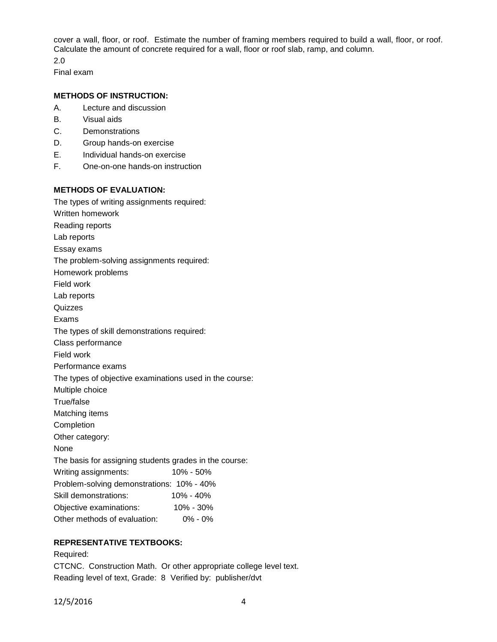cover a wall, floor, or roof. Estimate the number of framing members required to build a wall, floor, or roof. Calculate the amount of concrete required for a wall, floor or roof slab, ramp, and column.

2.0 Final exam

### **METHODS OF INSTRUCTION:**

- A. Lecture and discussion
- B. Visual aids
- C. Demonstrations
- D. Group hands-on exercise
- E. Individual hands-on exercise
- F. One-on-one hands-on instruction

### **METHODS OF EVALUATION:**

The types of writing assignments required: Written homework Reading reports Lab reports Essay exams The problem-solving assignments required: Homework problems Field work Lab reports Quizzes Exams The types of skill demonstrations required: Class performance Field work Performance exams The types of objective examinations used in the course: Multiple choice True/false Matching items Completion Other category: None The basis for assigning students grades in the course: Writing assignments: 10% - 50% Problem-solving demonstrations: 10% - 40% Skill demonstrations: 10% - 40% Objective examinations: 10% - 30% Other methods of evaluation: 0% - 0%

### **REPRESENTATIVE TEXTBOOKS:**

Required: CTCNC. Construction Math. Or other appropriate college level text. Reading level of text, Grade: 8 Verified by: publisher/dvt